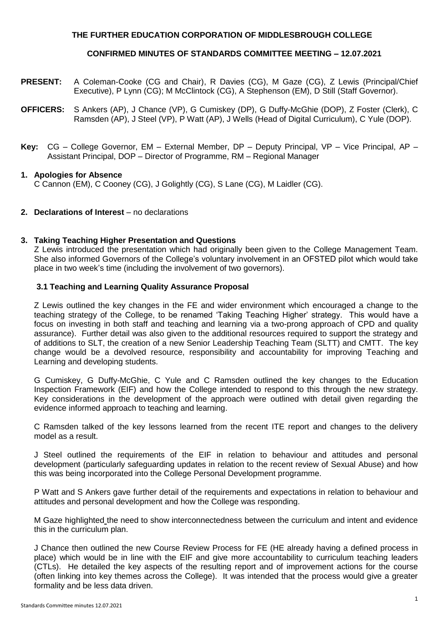# **THE FURTHER EDUCATION CORPORATION OF MIDDLESBROUGH COLLEGE**

## **CONFIRMED MINUTES OF STANDARDS COMMITTEE MEETING – 12.07.2021**

- **PRESENT:** A Coleman-Cooke (CG and Chair), R Davies (CG), M Gaze (CG), Z Lewis (Principal/Chief Executive), P Lynn (CG); M McClintock (CG), A Stephenson (EM), D Still (Staff Governor).
- **OFFICERS:** S Ankers (AP), J Chance (VP), G Cumiskey (DP), G Duffy-McGhie (DOP), Z Foster (Clerk), C Ramsden (AP), J Steel (VP), P Watt (AP), J Wells (Head of Digital Curriculum), C Yule (DOP).
- **Key:** CG College Governor, EM External Member, DP Deputy Principal, VP Vice Principal, AP Assistant Principal, DOP – Director of Programme, RM – Regional Manager

### **1. Apologies for Absence** C Cannon (EM), C Cooney (CG), J Golightly (CG), S Lane (CG), M Laidler (CG).

### **2. Declarations of Interest** – no declarations

## **3. Taking Teaching Higher Presentation and Questions**

Z Lewis introduced the presentation which had originally been given to the College Management Team. She also informed Governors of the College's voluntary involvement in an OFSTED pilot which would take place in two week's time (including the involvement of two governors).

## **3.1 Teaching and Learning Quality Assurance Proposal**

Z Lewis outlined the key changes in the FE and wider environment which encouraged a change to the teaching strategy of the College, to be renamed 'Taking Teaching Higher' strategy. This would have a focus on investing in both staff and teaching and learning via a two-prong approach of CPD and quality assurance). Further detail was also given to the additional resources required to support the strategy and of additions to SLT, the creation of a new Senior Leadership Teaching Team (SLTT) and CMTT. The key change would be a devolved resource, responsibility and accountability for improving Teaching and Learning and developing students.

G Cumiskey, G Duffy-McGhie, C Yule and C Ramsden outlined the key changes to the Education Inspection Framework (EIF) and how the College intended to respond to this through the new strategy. Key considerations in the development of the approach were outlined with detail given regarding the evidence informed approach to teaching and learning.

C Ramsden talked of the key lessons learned from the recent ITE report and changes to the delivery model as a result.

J Steel outlined the requirements of the EIF in relation to behaviour and attitudes and personal development (particularly safeguarding updates in relation to the recent review of Sexual Abuse) and how this was being incorporated into the College Personal Development programme.

P Watt and S Ankers gave further detail of the requirements and expectations in relation to behaviour and attitudes and personal development and how the College was responding.

M Gaze highlighted the need to show interconnectedness between the curriculum and intent and evidence this in the curriculum plan.

J Chance then outlined the new Course Review Process for FE (HE already having a defined process in place) which would be in line with the EIF and give more accountability to curriculum teaching leaders (CTLs). He detailed the key aspects of the resulting report and of improvement actions for the course (often linking into key themes across the College). It was intended that the process would give a greater formality and be less data driven.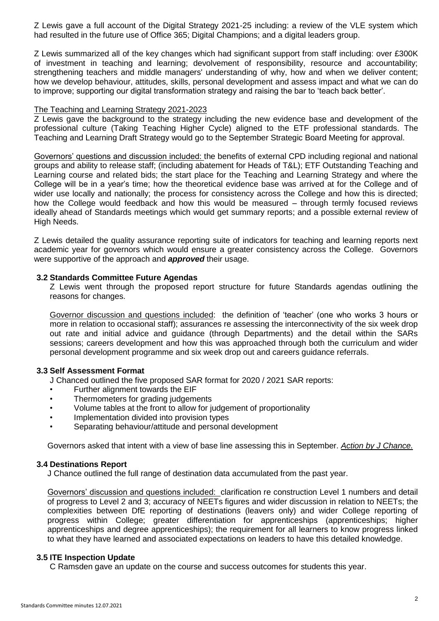Z Lewis gave a full account of the Digital Strategy 2021-25 including: a review of the VLE system which had resulted in the future use of Office 365; Digital Champions; and a digital leaders group.

Z Lewis summarized all of the key changes which had significant support from staff including: over £300K of investment in teaching and learning; devolvement of responsibility, resource and accountability; strengthening teachers and middle managers' understanding of why, how and when we deliver content; how we develop behaviour, attitudes, skills, personal development and assess impact and what we can do to improve; supporting our digital transformation strategy and raising the bar to 'teach back better'.

### The Teaching and Learning Strategy 2021-2023

Z Lewis gave the background to the strategy including the new evidence base and development of the professional culture (Taking Teaching Higher Cycle) aligned to the ETF professional standards. The Teaching and Learning Draft Strategy would go to the September Strategic Board Meeting for approval.

Governors' questions and discussion included: the benefits of external CPD including regional and national groups and ability to release staff; (including abatement for Heads of T&L); ETF Outstanding Teaching and Learning course and related bids; the start place for the Teaching and Learning Strategy and where the College will be in a year's time; how the theoretical evidence base was arrived at for the College and of wider use locally and nationally; the process for consistency across the College and how this is directed; how the College would feedback and how this would be measured – through termly focused reviews ideally ahead of Standards meetings which would get summary reports; and a possible external review of High Needs.

Z Lewis detailed the quality assurance reporting suite of indicators for teaching and learning reports next academic year for governors which would ensure a greater consistency across the College. Governors were supportive of the approach and *approved* their usage.

### **3.2 Standards Committee Future Agendas**

Z Lewis went through the proposed report structure for future Standards agendas outlining the reasons for changes.

Governor discussion and questions included: the definition of 'teacher' (one who works 3 hours or more in relation to occasional staff); assurances re assessing the interconnectivity of the six week drop out rate and initial advice and guidance (through Departments) and the detail within the SARs sessions; careers development and how this was approached through both the curriculum and wider personal development programme and six week drop out and careers guidance referrals.

#### **3.3 Self Assessment Format**

J Chanced outlined the five proposed SAR format for 2020 / 2021 SAR reports:

- Further alignment towards the EIF
- Thermometers for grading judgements
- Volume tables at the front to allow for judgement of proportionality
- Implementation divided into provision types
- Separating behaviour/attitude and personal development

Governors asked that intent with a view of base line assessing this in September. *Action by J Chance.*

#### **3.4 Destinations Report**

J Chance outlined the full range of destination data accumulated from the past year.

Governors' discussion and questions included: clarification re construction Level 1 numbers and detail of progress to Level 2 and 3; accuracy of NEETs figures and wider discussion in relation to NEETs; the complexities between DfE reporting of destinations (leavers only) and wider College reporting of progress within College; greater differentiation for apprenticeships (apprenticeships; higher apprenticeships and degree apprenticeships); the requirement for all learners to know progress linked to what they have learned and associated expectations on leaders to have this detailed knowledge.

## **3.5 ITE Inspection Update**

C Ramsden gave an update on the course and success outcomes for students this year.